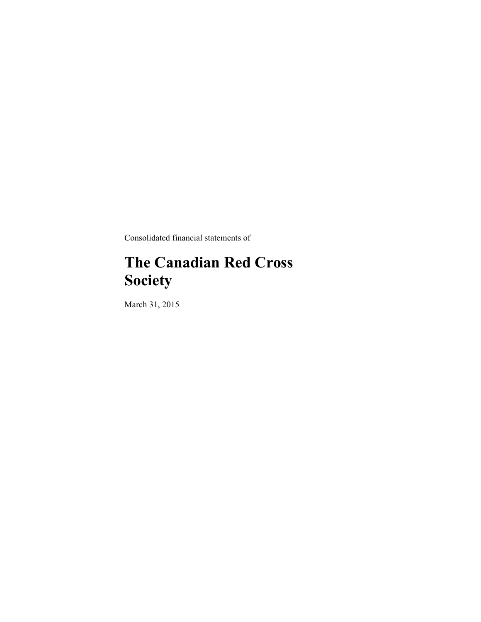Consolidated financial statements of

# **The Canadian Red Cross Society**

March 31, 2015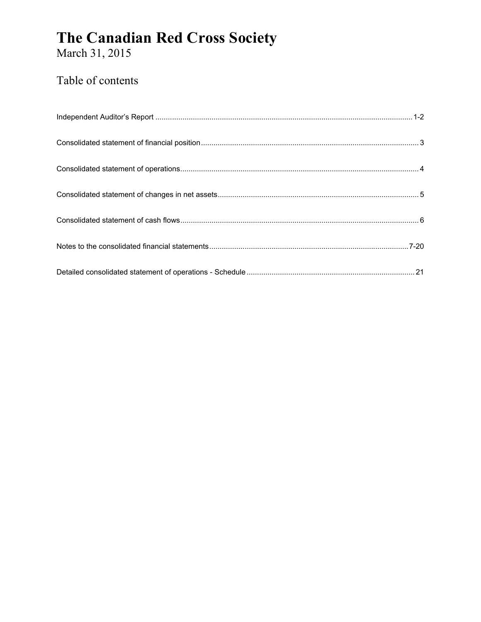March 31, 2015

### Table of contents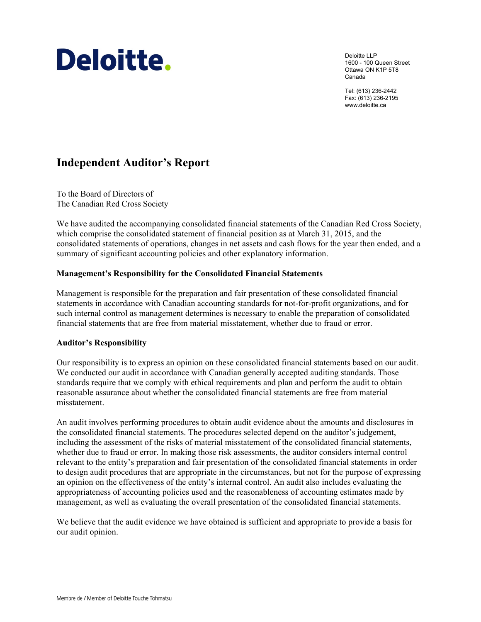# Deloitte.

Deloitte LLP 1600 - 100 Queen Street Ottawa ON K1P 5T8 Canada

Tel: (613) 236-2442 Fax: (613) 236-2195 www.deloitte.ca

### **Independent Auditor's Report**

To the Board of Directors of The Canadian Red Cross Society

We have audited the accompanying consolidated financial statements of the Canadian Red Cross Society, which comprise the consolidated statement of financial position as at March 31, 2015, and the consolidated statements of operations, changes in net assets and cash flows for the year then ended, and a summary of significant accounting policies and other explanatory information.

#### **Management's Responsibility for the Consolidated Financial Statements**

Management is responsible for the preparation and fair presentation of these consolidated financial statements in accordance with Canadian accounting standards for not-for-profit organizations, and for such internal control as management determines is necessary to enable the preparation of consolidated financial statements that are free from material misstatement, whether due to fraud or error.

#### **Auditor's Responsibility**

Our responsibility is to express an opinion on these consolidated financial statements based on our audit. We conducted our audit in accordance with Canadian generally accepted auditing standards. Those standards require that we comply with ethical requirements and plan and perform the audit to obtain reasonable assurance about whether the consolidated financial statements are free from material misstatement.

An audit involves performing procedures to obtain audit evidence about the amounts and disclosures in the consolidated financial statements. The procedures selected depend on the auditor's judgement, including the assessment of the risks of material misstatement of the consolidated financial statements, whether due to fraud or error. In making those risk assessments, the auditor considers internal control relevant to the entity's preparation and fair presentation of the consolidated financial statements in order to design audit procedures that are appropriate in the circumstances, but not for the purpose of expressing an opinion on the effectiveness of the entity's internal control. An audit also includes evaluating the appropriateness of accounting policies used and the reasonableness of accounting estimates made by management, as well as evaluating the overall presentation of the consolidated financial statements.

We believe that the audit evidence we have obtained is sufficient and appropriate to provide a basis for our audit opinion.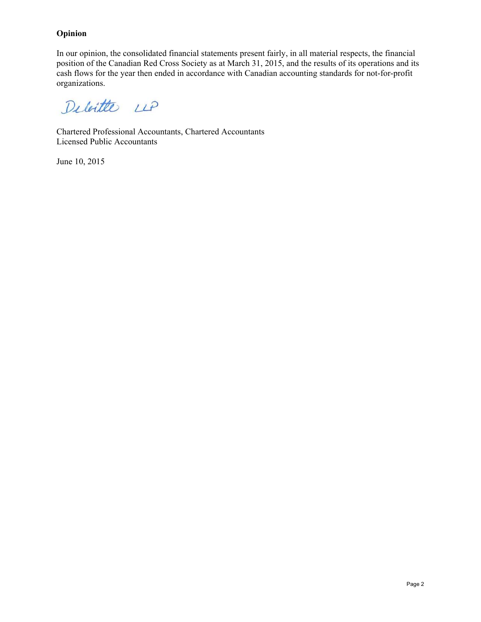#### **Opinion**

In our opinion, the consolidated financial statements present fairly, in all material respects, the financial position of the Canadian Red Cross Society as at March 31, 2015, and the results of its operations and its cash flows for the year then ended in accordance with Canadian accounting standards for not-for-profit organizations.

Deleitte 4P

Chartered Professional Accountants, Chartered Accountants Licensed Public Accountants

June 10, 2015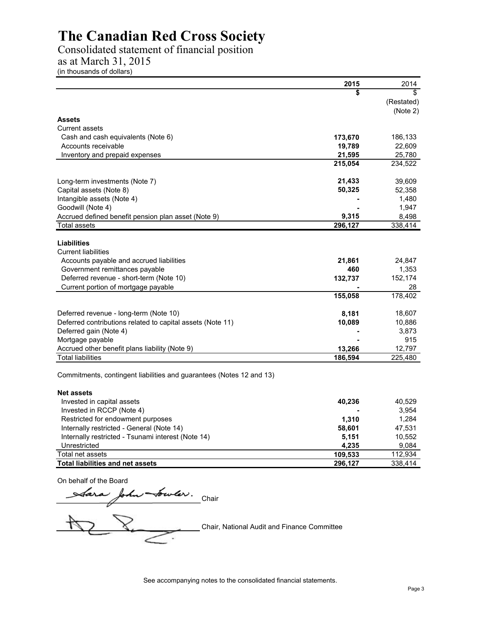Consolidated statement of financial position

as at March 31, 2015

(in thousands of dollars)

|                                                                      | 2015    | 2014       |
|----------------------------------------------------------------------|---------|------------|
|                                                                      | \$      | \$         |
|                                                                      |         | (Restated) |
|                                                                      |         | (Note 2)   |
| <b>Assets</b>                                                        |         |            |
| <b>Current assets</b>                                                |         |            |
| Cash and cash equivalents (Note 6)                                   | 173,670 | 186,133    |
| Accounts receivable                                                  | 19,789  | 22,609     |
| Inventory and prepaid expenses                                       | 21,595  | 25,780     |
|                                                                      | 215,054 | 234,522    |
|                                                                      |         |            |
| Long-term investments (Note 7)                                       | 21,433  | 39,609     |
| Capital assets (Note 8)                                              | 50,325  | 52,358     |
| Intangible assets (Note 4)                                           |         | 1,480      |
| Goodwill (Note 4)                                                    |         | 1,947      |
| Accrued defined benefit pension plan asset (Note 9)                  | 9,315   | 8,498      |
| <b>Total assets</b>                                                  | 296,127 | 338,414    |
|                                                                      |         |            |
| Liabilities                                                          |         |            |
| <b>Current liabilities</b>                                           |         |            |
| Accounts payable and accrued liabilities                             | 21,861  | 24,847     |
| Government remittances payable                                       | 460     | 1,353      |
| Deferred revenue - short-term (Note 10)                              | 132,737 | 152,174    |
| Current portion of mortgage payable                                  |         | 28         |
|                                                                      | 155,058 | 178,402    |
| Deferred revenue - long-term (Note 10)                               | 8,181   | 18,607     |
| Deferred contributions related to capital assets (Note 11)           | 10,089  | 10,886     |
| Deferred gain (Note 4)                                               |         | 3,873      |
| Mortgage payable                                                     |         | 915        |
| Accrued other benefit plans liability (Note 9)                       | 13,266  | 12,797     |
| <b>Total liabilities</b>                                             | 186,594 | 225,480    |
|                                                                      |         |            |
| Commitments, contingent liabilities and guarantees (Notes 12 and 13) |         |            |
| <b>Net assets</b>                                                    |         |            |
| Invested in capital assets                                           | 40,236  | 40,529     |
| Invested in RCCP (Note 4)                                            |         | 3,954      |
| Restricted for endowment purposes                                    | 1,310   | 1,284      |
| Internally restricted - General (Note 14)                            | 58,601  | 47,531     |
| Internally restricted - Tsunami interest (Note 14)                   | 5,151   | 10,552     |
| Unrestricted                                                         | 4,235   | 9,084      |
| Total net assets                                                     | 109,533 | 112,934    |
| <b>Total liabilities and net assets</b>                              | 296,127 | 338,414    |
|                                                                      |         |            |

On behalf of the Board

sehalf of the Board<br>Sara form towler. Chair

Chair, National Audit and Finance Committee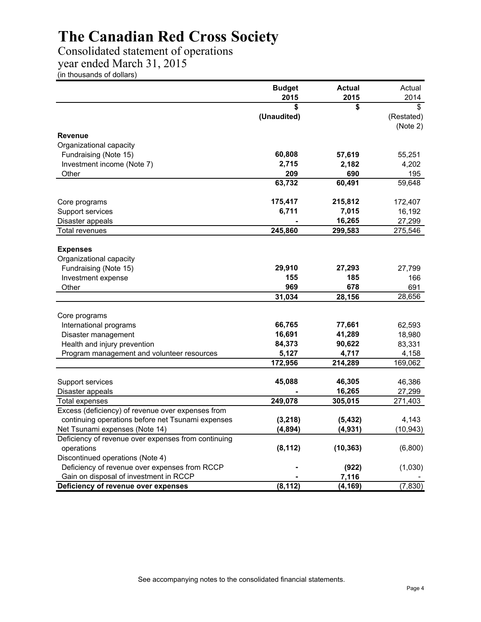Consolidated statement of operations

year ended March 31, 2015

|                                                     | <b>Budget</b><br>2015 | <b>Actual</b><br>2015 | Actual<br>2014   |
|-----------------------------------------------------|-----------------------|-----------------------|------------------|
|                                                     | \$                    | \$                    | \$               |
|                                                     | (Unaudited)           |                       | (Restated)       |
|                                                     |                       |                       | (Note 2)         |
| <b>Revenue</b>                                      |                       |                       |                  |
| Organizational capacity                             |                       |                       |                  |
| Fundraising (Note 15)                               | 60,808                | 57,619                | 55,251           |
| Investment income (Note 7)                          | 2,715                 | 2,182                 | 4,202            |
| Other                                               | 209                   | 690                   | 195              |
|                                                     | 63,732                | 60,491                | 59,648           |
| Core programs                                       | 175,417               | 215,812               | 172,407          |
| Support services                                    | 6,711                 | 7,015                 | 16,192           |
| Disaster appeals                                    |                       | 16,265                | 27,299           |
| <b>Total revenues</b>                               | 245,860               | 299,583               | 275,546          |
| <b>Expenses</b>                                     |                       |                       |                  |
| Organizational capacity                             |                       |                       |                  |
| Fundraising (Note 15)                               | 29,910                | 27,293                | 27,799           |
| Investment expense                                  | 155                   | 185                   | 166              |
| Other                                               | 969                   | 678                   | 691              |
|                                                     | 31,034                | 28,156                | 28,656           |
|                                                     |                       |                       |                  |
| Core programs                                       |                       |                       |                  |
| International programs                              | 66,765<br>16,691      | 77,661<br>41,289      | 62,593<br>18,980 |
| Disaster management<br>Health and injury prevention | 84,373                | 90,622                | 83,331           |
| Program management and volunteer resources          | 5,127                 | 4,717                 | 4,158            |
|                                                     | 172,956               | 214,289               | 169,062          |
|                                                     |                       |                       |                  |
| Support services                                    | 45,088                | 46,305                | 46,386           |
| Disaster appeals                                    |                       | 16,265                | 27,299           |
| <b>Total expenses</b>                               | 249,078               | 305,015               | 271,403          |
| Excess (deficiency) of revenue over expenses from   |                       |                       |                  |
| continuing operations before net Tsunami expenses   | (3, 218)              | (5, 432)              | 4,143            |
| Net Tsunami expenses (Note 14)                      | (4, 894)              | (4, 931)              | (10, 943)        |
| Deficiency of revenue over expenses from continuing |                       |                       |                  |
| operations                                          | (8, 112)              | (10, 363)             | (6,800)          |
| Discontinued operations (Note 4)                    |                       |                       |                  |
| Deficiency of revenue over expenses from RCCP       |                       | (922)                 | (1,030)          |
| Gain on disposal of investment in RCCP              |                       | 7,116                 |                  |
| Deficiency of revenue over expenses                 | (8, 112)              | (4, 169)              | (7, 830)         |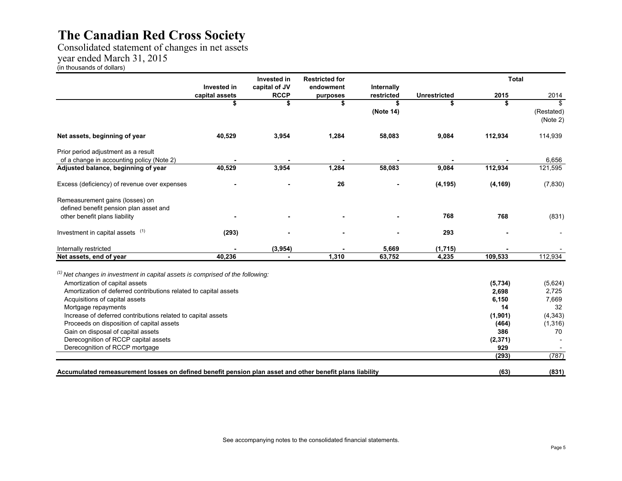Consolidated statement of changes in net assets year ended March 31, 2015

|                                                                                                                                                                                                                                                                                                                                                                                                                                                                                 |                | <b>Invested in</b> | <b>Restricted for</b> |                   |                     | <b>Total</b>                                                                            |                                                                        |
|---------------------------------------------------------------------------------------------------------------------------------------------------------------------------------------------------------------------------------------------------------------------------------------------------------------------------------------------------------------------------------------------------------------------------------------------------------------------------------|----------------|--------------------|-----------------------|-------------------|---------------------|-----------------------------------------------------------------------------------------|------------------------------------------------------------------------|
|                                                                                                                                                                                                                                                                                                                                                                                                                                                                                 | Invested in    | capital of JV      | endowment             | Internally        |                     |                                                                                         |                                                                        |
|                                                                                                                                                                                                                                                                                                                                                                                                                                                                                 | capital assets | <b>RCCP</b>        | purposes              | restricted<br>\$. | <b>Unrestricted</b> | 2015                                                                                    | 2014                                                                   |
|                                                                                                                                                                                                                                                                                                                                                                                                                                                                                 |                |                    | \$                    | (Note 14)         |                     | \$                                                                                      | (Restated)<br>(Note 2)                                                 |
| Net assets, beginning of year                                                                                                                                                                                                                                                                                                                                                                                                                                                   | 40,529         | 3,954              | 1,284                 | 58,083            | 9,084               | 112,934                                                                                 | 114,939                                                                |
| Prior period adjustment as a result<br>of a change in accounting policy (Note 2)                                                                                                                                                                                                                                                                                                                                                                                                |                |                    |                       |                   |                     |                                                                                         | 6,656                                                                  |
| Adjusted balance, beginning of year                                                                                                                                                                                                                                                                                                                                                                                                                                             | 40,529         | 3,954              | 1,284                 | 58,083            | 9,084               | 112,934                                                                                 | 121,595                                                                |
| Excess (deficiency) of revenue over expenses                                                                                                                                                                                                                                                                                                                                                                                                                                    |                |                    | 26                    |                   | (4, 195)            | (4, 169)                                                                                | (7, 830)                                                               |
| Remeasurement gains (losses) on<br>defined benefit pension plan asset and<br>other benefit plans liability                                                                                                                                                                                                                                                                                                                                                                      |                |                    |                       |                   | 768                 | 768                                                                                     | (831)                                                                  |
| Investment in capital assets (1)                                                                                                                                                                                                                                                                                                                                                                                                                                                | (293)          |                    |                       |                   | 293                 |                                                                                         |                                                                        |
| Internally restricted                                                                                                                                                                                                                                                                                                                                                                                                                                                           |                | (3,954)            |                       | 5,669             | (1,715)             |                                                                                         |                                                                        |
| Net assets, end of year                                                                                                                                                                                                                                                                                                                                                                                                                                                         | 40,236         | $\mathbf{r}$       | 1,310                 | 63,752            | 4,235               | 109,533                                                                                 | 112,934                                                                |
| $^{(1)}$ Net changes in investment in capital assets is comprised of the following:<br>Amortization of capital assets<br>Amortization of deferred contributions related to capital assets<br>Acquisitions of capital assets<br>Mortgage repayments<br>Increase of deferred contributions related to capital assets<br>Proceeds on disposition of capital assets<br>Gain on disposal of capital assets<br>Derecognition of RCCP capital assets<br>Derecognition of RCCP mortgage |                |                    |                       |                   |                     | (5, 734)<br>2,698<br>6,150<br>14<br>(1,901)<br>(464)<br>386<br>(2, 371)<br>929<br>(293) | (5,624)<br>2,725<br>7,669<br>32<br>(4, 343)<br>(1, 316)<br>70<br>(787) |
|                                                                                                                                                                                                                                                                                                                                                                                                                                                                                 |                |                    |                       |                   |                     |                                                                                         |                                                                        |
| Accumulated remeasurement losses on defined benefit pension plan asset and other benefit plans liability                                                                                                                                                                                                                                                                                                                                                                        |                |                    |                       |                   |                     | (63)                                                                                    | (831)                                                                  |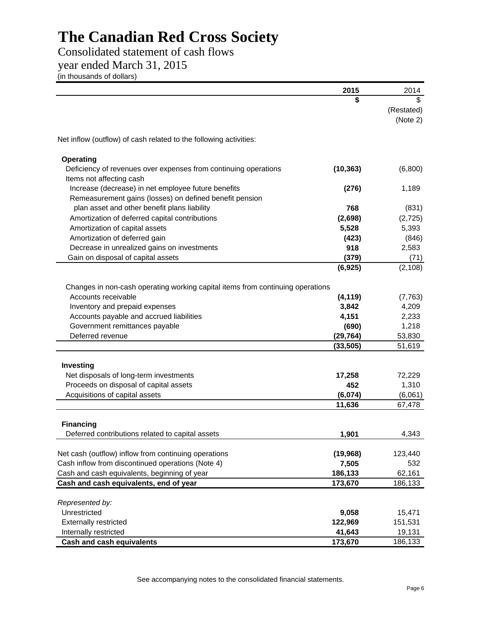### Consolidated statement of cash flows

year ended March 31, 2015

|                                                                                | 2015         | 2014           |
|--------------------------------------------------------------------------------|--------------|----------------|
|                                                                                | \$           | \$             |
|                                                                                |              | (Restated)     |
|                                                                                |              | (Note 2)       |
| Net inflow (outflow) of cash related to the following activities:              |              |                |
|                                                                                |              |                |
| <b>Operating</b>                                                               |              |                |
| Deficiency of revenues over expenses from continuing operations                | (10, 363)    | (6,800)        |
| Items not affecting cash                                                       |              |                |
| Increase (decrease) in net employee future benefits                            | (276)        | 1,189          |
| Remeasurement gains (losses) on defined benefit pension                        |              |                |
| plan asset and other benefit plans liability                                   | 768          | (831)          |
| Amortization of deferred capital contributions                                 | (2,698)      | (2, 725)       |
| Amortization of capital assets                                                 | 5,528        | 5,393          |
| Amortization of deferred gain                                                  | (423)<br>918 | (846)<br>2,583 |
| Decrease in unrealized gains on investments                                    | (379)        | (71)           |
| Gain on disposal of capital assets                                             | (6, 925)     | (2, 108)       |
|                                                                                |              |                |
| Changes in non-cash operating working capital items from continuing operations |              |                |
| Accounts receivable                                                            | (4, 119)     | (7, 763)       |
| Inventory and prepaid expenses                                                 | 3,842        | 4,209          |
| Accounts payable and accrued liabilities                                       | 4,151        | 2,233          |
| Government remittances payable                                                 | (690)        | 1,218          |
| Deferred revenue                                                               | (29, 764)    | 53,830         |
|                                                                                | (33, 505)    | 51,619         |
| Investing                                                                      |              |                |
| Net disposals of long-term investments                                         | 17,258       | 72,229         |
| Proceeds on disposal of capital assets                                         | 452          | 1,310          |
| Acquisitions of capital assets                                                 | (6,074)      | (6,061)        |
|                                                                                | 11,636       | 67,478         |
|                                                                                |              |                |
| <b>Financing</b>                                                               |              |                |
| Deferred contributions related to capital assets                               | 1.901        | 4.343          |
| Net cash (outflow) inflow from continuing operations                           | (19,968)     | 123,440        |
| Cash inflow from discontinued operations (Note 4)                              | 7,505        | 532            |
| Cash and cash equivalents, beginning of year                                   | 186,133      | 62,161         |
| Cash and cash equivalents, end of year                                         | 173,670      | 186,133        |
| Represented by:                                                                |              |                |
| Unrestricted                                                                   | 9,058        | 15,471         |
| <b>Externally restricted</b>                                                   | 122,969      | 151,531        |
| Internally restricted                                                          | 41,643       | 19,131         |
| Cash and cash equivalents                                                      | 173,670      | 186,133        |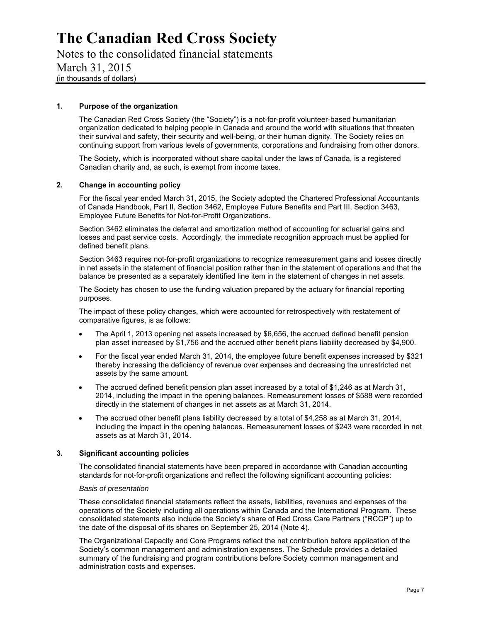Notes to the consolidated financial statements March 31, 2015 (in thousands of dollars)

#### **1. Purpose of the organization**

The Canadian Red Cross Society (the "Society") is a not-for-profit volunteer-based humanitarian organization dedicated to helping people in Canada and around the world with situations that threaten their survival and safety, their security and well-being, or their human dignity. The Society relies on continuing support from various levels of governments, corporations and fundraising from other donors.

The Society, which is incorporated without share capital under the laws of Canada, is a registered Canadian charity and, as such, is exempt from income taxes.

#### **2. Change in accounting policy**

For the fiscal year ended March 31, 2015, the Society adopted the Chartered Professional Accountants of Canada Handbook, Part II, Section 3462, Employee Future Benefits and Part III, Section 3463, Employee Future Benefits for Not-for-Profit Organizations.

Section 3462 eliminates the deferral and amortization method of accounting for actuarial gains and losses and past service costs. Accordingly, the immediate recognition approach must be applied for defined benefit plans.

Section 3463 requires not-for-profit organizations to recognize remeasurement gains and losses directly in net assets in the statement of financial position rather than in the statement of operations and that the balance be presented as a separately identified line item in the statement of changes in net assets.

The Society has chosen to use the funding valuation prepared by the actuary for financial reporting purposes.

The impact of these policy changes, which were accounted for retrospectively with restatement of comparative figures, is as follows:

- The April 1, 2013 opening net assets increased by \$6,656, the accrued defined benefit pension plan asset increased by \$1,756 and the accrued other benefit plans liability decreased by \$4,900.
- For the fiscal year ended March 31, 2014, the employee future benefit expenses increased by \$321 thereby increasing the deficiency of revenue over expenses and decreasing the unrestricted net assets by the same amount.
- The accrued defined benefit pension plan asset increased by a total of \$1,246 as at March 31, 2014, including the impact in the opening balances. Remeasurement losses of \$588 were recorded directly in the statement of changes in net assets as at March 31, 2014.
- The accrued other benefit plans liability decreased by a total of \$4,258 as at March 31, 2014, including the impact in the opening balances. Remeasurement losses of \$243 were recorded in net assets as at March 31, 2014.

#### **3. Significant accounting policies**

The consolidated financial statements have been prepared in accordance with Canadian accounting standards for not-for-profit organizations and reflect the following significant accounting policies:

#### *Basis of presentation*

These consolidated financial statements reflect the assets, liabilities, revenues and expenses of the operations of the Society including all operations within Canada and the International Program. These consolidated statements also include the Society's share of Red Cross Care Partners ("RCCP") up to the date of the disposal of its shares on September 25, 2014 (Note 4).

The Organizational Capacity and Core Programs reflect the net contribution before application of the Society's common management and administration expenses. The Schedule provides a detailed summary of the fundraising and program contributions before Society common management and administration costs and expenses.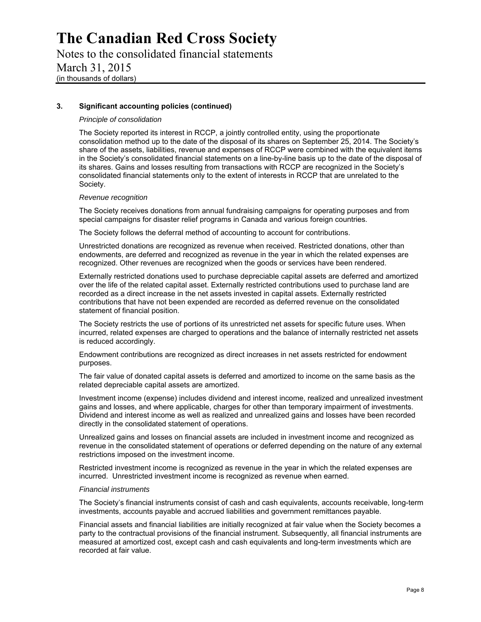Notes to the consolidated financial statements March 31, 2015 (in thousands of dollars)

#### **3. Significant accounting policies (continued)**

#### *Principle of consolidation*

The Society reported its interest in RCCP, a jointly controlled entity, using the proportionate consolidation method up to the date of the disposal of its shares on September 25, 2014. The Society's share of the assets, liabilities, revenue and expenses of RCCP were combined with the equivalent items in the Society's consolidated financial statements on a line-by-line basis up to the date of the disposal of its shares. Gains and losses resulting from transactions with RCCP are recognized in the Society's consolidated financial statements only to the extent of interests in RCCP that are unrelated to the Society.

#### *Revenue recognition*

The Society receives donations from annual fundraising campaigns for operating purposes and from special campaigns for disaster relief programs in Canada and various foreign countries.

The Society follows the deferral method of accounting to account for contributions.

Unrestricted donations are recognized as revenue when received. Restricted donations, other than endowments, are deferred and recognized as revenue in the year in which the related expenses are recognized. Other revenues are recognized when the goods or services have been rendered.

Externally restricted donations used to purchase depreciable capital assets are deferred and amortized over the life of the related capital asset. Externally restricted contributions used to purchase land are recorded as a direct increase in the net assets invested in capital assets. Externally restricted contributions that have not been expended are recorded as deferred revenue on the consolidated statement of financial position.

The Society restricts the use of portions of its unrestricted net assets for specific future uses. When incurred, related expenses are charged to operations and the balance of internally restricted net assets is reduced accordingly.

Endowment contributions are recognized as direct increases in net assets restricted for endowment purposes.

The fair value of donated capital assets is deferred and amortized to income on the same basis as the related depreciable capital assets are amortized.

Investment income (expense) includes dividend and interest income, realized and unrealized investment gains and losses, and where applicable, charges for other than temporary impairment of investments. Dividend and interest income as well as realized and unrealized gains and losses have been recorded directly in the consolidated statement of operations.

Unrealized gains and losses on financial assets are included in investment income and recognized as revenue in the consolidated statement of operations or deferred depending on the nature of any external restrictions imposed on the investment income.

Restricted investment income is recognized as revenue in the year in which the related expenses are incurred. Unrestricted investment income is recognized as revenue when earned.

#### *Financial instruments*

The Society's financial instruments consist of cash and cash equivalents, accounts receivable, long-term investments, accounts payable and accrued liabilities and government remittances payable.

Financial assets and financial liabilities are initially recognized at fair value when the Society becomes a party to the contractual provisions of the financial instrument. Subsequently, all financial instruments are measured at amortized cost, except cash and cash equivalents and long-term investments which are recorded at fair value.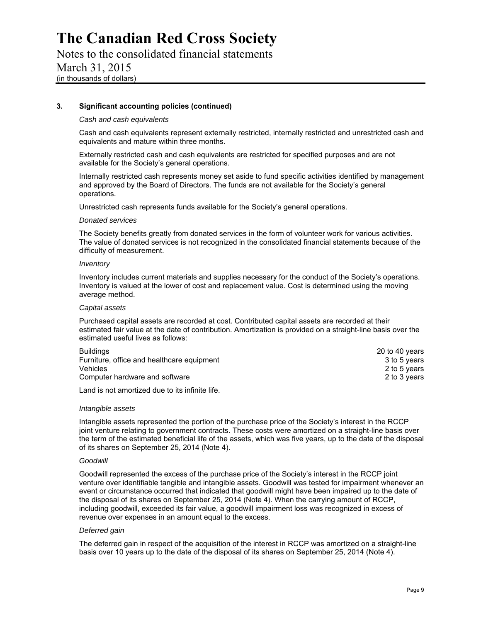Notes to the consolidated financial statements March 31, 2015 (in thousands of dollars)

#### **3. Significant accounting policies (continued)**

#### *Cash and cash equivalents*

Cash and cash equivalents represent externally restricted, internally restricted and unrestricted cash and equivalents and mature within three months.

Externally restricted cash and cash equivalents are restricted for specified purposes and are not available for the Society's general operations.

Internally restricted cash represents money set aside to fund specific activities identified by management and approved by the Board of Directors. The funds are not available for the Society's general operations.

Unrestricted cash represents funds available for the Society's general operations.

#### *Donated services*

The Society benefits greatly from donated services in the form of volunteer work for various activities. The value of donated services is not recognized in the consolidated financial statements because of the difficulty of measurement.

#### *Inventory*

Inventory includes current materials and supplies necessary for the conduct of the Society's operations. Inventory is valued at the lower of cost and replacement value. Cost is determined using the moving average method.

#### *Capital assets*

Purchased capital assets are recorded at cost. Contributed capital assets are recorded at their estimated fair value at the date of contribution. Amortization is provided on a straight-line basis over the estimated useful lives as follows:

| 20 to 40 years |
|----------------|
| 3 to 5 years   |
| 2 to 5 years   |
| 2 to 3 years   |
|                |

Land is not amortized due to its infinite life.

#### *Intangible assets*

Intangible assets represented the portion of the purchase price of the Society's interest in the RCCP joint venture relating to government contracts. These costs were amortized on a straight-line basis over the term of the estimated beneficial life of the assets, which was five years, up to the date of the disposal of its shares on September 25, 2014 (Note 4).

#### *Goodwill*

Goodwill represented the excess of the purchase price of the Society's interest in the RCCP joint venture over identifiable tangible and intangible assets. Goodwill was tested for impairment whenever an event or circumstance occurred that indicated that goodwill might have been impaired up to the date of the disposal of its shares on September 25, 2014 (Note 4). When the carrying amount of RCCP, including goodwill, exceeded its fair value, a goodwill impairment loss was recognized in excess of revenue over expenses in an amount equal to the excess.

#### *Deferred gain*

The deferred gain in respect of the acquisition of the interest in RCCP was amortized on a straight-line basis over 10 years up to the date of the disposal of its shares on September 25, 2014 (Note 4).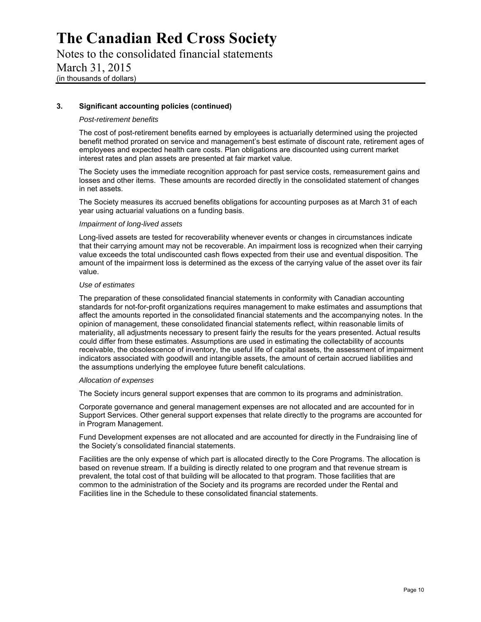Notes to the consolidated financial statements March 31, 2015 (in thousands of dollars)

#### **3. Significant accounting policies (continued)**

#### *Post-retirement benefits*

The cost of post-retirement benefits earned by employees is actuarially determined using the projected benefit method prorated on service and management's best estimate of discount rate, retirement ages of employees and expected health care costs. Plan obligations are discounted using current market interest rates and plan assets are presented at fair market value.

The Society uses the immediate recognition approach for past service costs, remeasurement gains and losses and other items. These amounts are recorded directly in the consolidated statement of changes in net assets.

The Society measures its accrued benefits obligations for accounting purposes as at March 31 of each year using actuarial valuations on a funding basis.

#### *Impairment of long-lived assets*

Long-lived assets are tested for recoverability whenever events or changes in circumstances indicate that their carrying amount may not be recoverable. An impairment loss is recognized when their carrying value exceeds the total undiscounted cash flows expected from their use and eventual disposition. The amount of the impairment loss is determined as the excess of the carrying value of the asset over its fair value.

#### *Use of estimates*

The preparation of these consolidated financial statements in conformity with Canadian accounting standards for not-for-profit organizations requires management to make estimates and assumptions that affect the amounts reported in the consolidated financial statements and the accompanying notes. In the opinion of management, these consolidated financial statements reflect, within reasonable limits of materiality, all adjustments necessary to present fairly the results for the years presented. Actual results could differ from these estimates. Assumptions are used in estimating the collectability of accounts receivable, the obsolescence of inventory, the useful life of capital assets, the assessment of impairment indicators associated with goodwill and intangible assets, the amount of certain accrued liabilities and the assumptions underlying the employee future benefit calculations.

#### *Allocation of expenses*

The Society incurs general support expenses that are common to its programs and administration.

Corporate governance and general management expenses are not allocated and are accounted for in Support Services. Other general support expenses that relate directly to the programs are accounted for in Program Management.

Fund Development expenses are not allocated and are accounted for directly in the Fundraising line of the Society's consolidated financial statements.

Facilities are the only expense of which part is allocated directly to the Core Programs. The allocation is based on revenue stream. If a building is directly related to one program and that revenue stream is prevalent, the total cost of that building will be allocated to that program. Those facilities that are common to the administration of the Society and its programs are recorded under the Rental and Facilities line in the Schedule to these consolidated financial statements.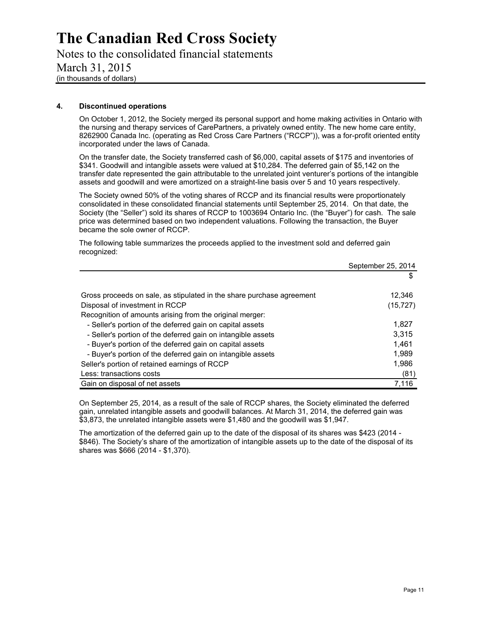Notes to the consolidated financial statements March 31, 2015 (in thousands of dollars)

#### **4. Discontinued operations**

On October 1, 2012, the Society merged its personal support and home making activities in Ontario with the nursing and therapy services of CarePartners, a privately owned entity. The new home care entity, 8262900 Canada Inc. (operating as Red Cross Care Partners ("RCCP")), was a for-profit oriented entity incorporated under the laws of Canada.

On the transfer date, the Society transferred cash of \$6,000, capital assets of \$175 and inventories of \$341. Goodwill and intangible assets were valued at \$10,284. The deferred gain of \$5,142 on the transfer date represented the gain attributable to the unrelated joint venturer's portions of the intangible assets and goodwill and were amortized on a straight-line basis over 5 and 10 years respectively.

The Society owned 50% of the voting shares of RCCP and its financial results were proportionately consolidated in these consolidated financial statements until September 25, 2014. On that date, the Society (the "Seller") sold its shares of RCCP to 1003694 Ontario Inc. (the "Buyer") for cash. The sale price was determined based on two independent valuations. Following the transaction, the Buyer became the sole owner of RCCP.

The following table summarizes the proceeds applied to the investment sold and deferred gain recognized:

|                                                                       | September 25, 2014 |
|-----------------------------------------------------------------------|--------------------|
|                                                                       | S                  |
| Gross proceeds on sale, as stipulated in the share purchase agreement | 12.346             |
| Disposal of investment in RCCP                                        | (15, 727)          |
| Recognition of amounts arising from the original merger:              |                    |
| - Seller's portion of the deferred gain on capital assets             | 1.827              |
| - Seller's portion of the deferred gain on intangible assets          | 3.315              |
| - Buyer's portion of the deferred gain on capital assets              | 1.461              |
| - Buyer's portion of the deferred gain on intangible assets           | 1,989              |
| Seller's portion of retained earnings of RCCP                         | 1,986              |
| Less: transactions costs                                              | (81)               |
| Gain on disposal of net assets                                        | 7.116              |

On September 25, 2014, as a result of the sale of RCCP shares, the Society eliminated the deferred gain, unrelated intangible assets and goodwill balances. At March 31, 2014, the deferred gain was \$3,873, the unrelated intangible assets were \$1,480 and the goodwill was \$1,947.

The amortization of the deferred gain up to the date of the disposal of its shares was \$423 (2014 - \$846). The Society's share of the amortization of intangible assets up to the date of the disposal of its shares was \$666 (2014 - \$1,370).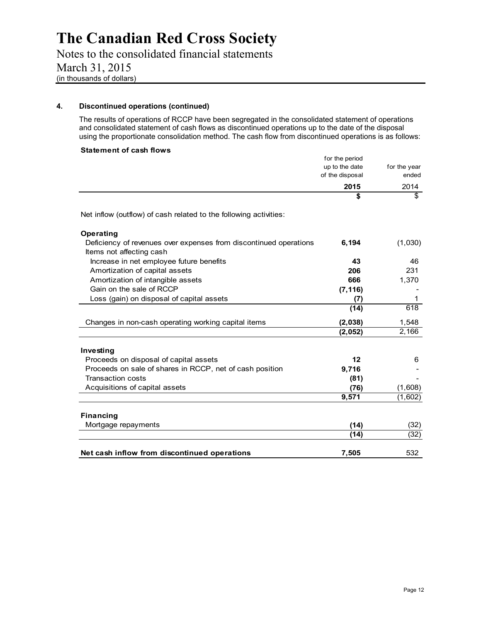Notes to the consolidated financial statements March 31, 2015 (in thousands of dollars)

#### **4. Discontinued operations (continued)**

The results of operations of RCCP have been segregated in the consolidated statement of operations and consolidated statement of cash flows as discontinued operations up to the date of the disposal using the proportionate consolidation method. The cash flow from discontinued operations is as follows:

#### **Statement of cash flows**

|                                                                                               | for the period                    |                       |
|-----------------------------------------------------------------------------------------------|-----------------------------------|-----------------------|
|                                                                                               | up to the date<br>of the disposal | for the year<br>ended |
|                                                                                               | 2015                              | 2014                  |
|                                                                                               | \$                                | \$                    |
| Net inflow (outflow) of cash related to the following activities:                             |                                   |                       |
| Operating                                                                                     |                                   |                       |
| Deficiency of revenues over expenses from discontinued operations<br>Items not affecting cash | 6,194                             | (1,030)               |
| Increase in net employee future benefits                                                      | 43                                | 46                    |
| Amortization of capital assets                                                                | 206                               | 231                   |
| Amortization of intangible assets                                                             | 666                               | 1,370                 |
| Gain on the sale of RCCP                                                                      | (7, 116)                          |                       |
| Loss (gain) on disposal of capital assets                                                     | (7)                               | 1                     |
|                                                                                               | (14)                              | 618                   |
| Changes in non-cash operating working capital items                                           | (2,038)                           | 1,548                 |
|                                                                                               | (2,052)                           | 2,166                 |
| Investing                                                                                     |                                   |                       |
| Proceeds on disposal of capital assets                                                        | 12                                | 6                     |
| Proceeds on sale of shares in RCCP, net of cash position                                      | 9,716                             |                       |
| <b>Transaction costs</b>                                                                      | (81)                              |                       |
| Acquisitions of capital assets                                                                | (76)                              | (1,608)               |
|                                                                                               | 9,571                             | (1,602)               |
| <b>Financing</b>                                                                              |                                   |                       |
| Mortgage repayments                                                                           | (14)                              | (32)                  |
|                                                                                               | (14)                              | (32)                  |
| Net cash inflow from discontinued operations                                                  | 7.505                             | 532                   |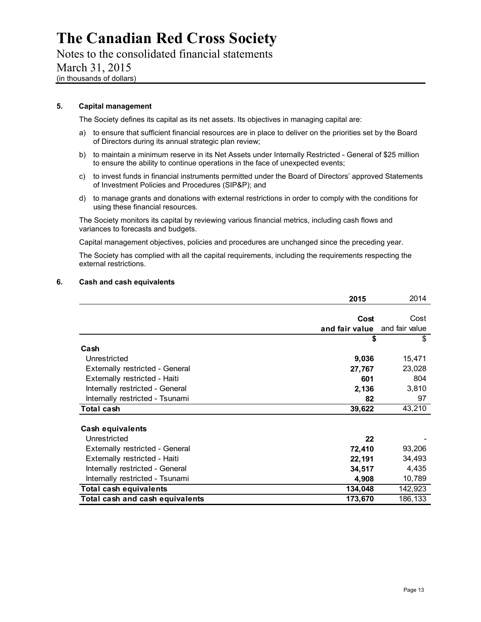Notes to the consolidated financial statements March 31, 2015

(in thousands of dollars)

#### **5. Capital management**

The Society defines its capital as its net assets. Its objectives in managing capital are:

- a) to ensure that sufficient financial resources are in place to deliver on the priorities set by the Board of Directors during its annual strategic plan review;
- b) to maintain a minimum reserve in its Net Assets under Internally Restricted General of \$25 million to ensure the ability to continue operations in the face of unexpected events;
- c) to invest funds in financial instruments permitted under the Board of Directors' approved Statements of Investment Policies and Procedures (SIP&P); and
- d) to manage grants and donations with external restrictions in order to comply with the conditions for using these financial resources.

The Society monitors its capital by reviewing various financial metrics, including cash flows and variances to forecasts and budgets.

Capital management objectives, policies and procedures are unchanged since the preceding year.

The Society has complied with all the capital requirements, including the requirements respecting the external restrictions.

|                                         | 2015                          | 2014    |
|-----------------------------------------|-------------------------------|---------|
|                                         |                               |         |
|                                         | Cost                          | Cost    |
|                                         | and fair value and fair value |         |
|                                         | \$                            | \$      |
| Cash                                    |                               |         |
| Unrestricted                            | 9,036                         | 15,471  |
| Externally restricted - General         | 27,767                        | 23,028  |
| Externally restricted - Haiti           | 601                           | 804     |
| Internally restricted - General         | 2,136                         | 3,810   |
| Internally restricted - Tsunami         | 82                            | 97      |
| <b>Total cash</b>                       | 39,622                        | 43,210  |
|                                         |                               |         |
| <b>Cash equivalents</b><br>Unrestricted | 22                            |         |
|                                         |                               |         |
| Externally restricted - General         | 72,410                        | 93,206  |
| Externally restricted - Haiti           | 22,191                        | 34,493  |
| Internally restricted - General         | 34,517                        | 4,435   |
| Internally restricted - Tsunami         | 4,908                         | 10,789  |
| <b>Total cash equivalents</b>           | 134,048                       | 142,923 |
| Total cash and cash equivalents         | 173,670                       | 186,133 |

#### **6. Cash and cash equivalents**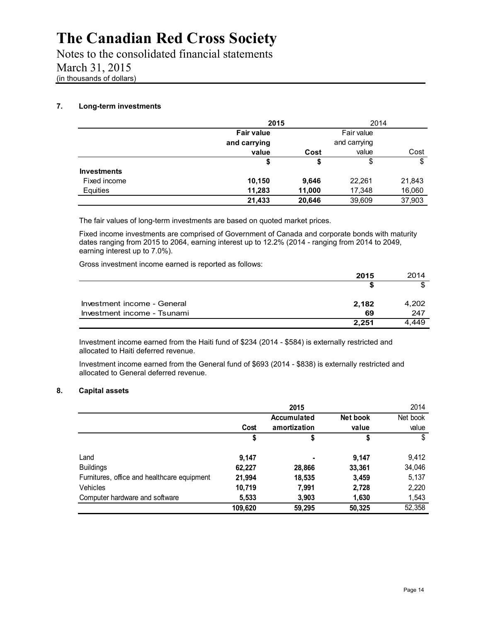Notes to the consolidated financial statements March 31, 2015 (in thousands of dollars)

#### **7. Long-term investments**

|                    | 2015              |        | 2014         |        |
|--------------------|-------------------|--------|--------------|--------|
|                    | <b>Fair value</b> |        | Fair value   |        |
|                    | and carrying      |        | and carrying |        |
|                    | value             | Cost   | value        | Cost   |
|                    | \$                | \$     | \$           | \$     |
| <b>Investments</b> |                   |        |              |        |
| Fixed income       | 10,150            | 9,646  | 22,261       | 21,843 |
| Equities           | 11,283            | 11,000 | 17,348       | 16,060 |
|                    | 21,433            | 20,646 | 39,609       | 37,903 |

The fair values of long-term investments are based on quoted market prices.

Fixed income investments are comprised of Government of Canada and corporate bonds with maturity dates ranging from 2015 to 2064, earning interest up to 12.2% (2014 - ranging from 2014 to 2049, earning interest up to 7.0%).

Gross investment income earned is reported as follows:

|                             | 2015  | 2014  |
|-----------------------------|-------|-------|
|                             |       | æ     |
| Investment income - General | 2.182 | 4,202 |
| Investment income - Tsunami | 69    | 247   |
|                             | 2.251 | 4.449 |

Investment income earned from the Haiti fund of \$234 (2014 - \$584) is externally restricted and allocated to Haiti deferred revenue.

Investment income earned from the General fund of \$693 (2014 - \$838) is externally restricted and allocated to General deferred revenue.

#### **8. Capital assets**

|                                             |         | 2015         |                 | 2014     |
|---------------------------------------------|---------|--------------|-----------------|----------|
|                                             |         | Accumulated  | <b>Net book</b> | Net book |
|                                             | Cost    | amortization | value           | value    |
|                                             | \$      | \$           | \$              | \$       |
| Land                                        | 9,147   | ۰            | 9,147           | 9,412    |
| <b>Buildings</b>                            | 62,227  | 28,866       | 33,361          | 34,046   |
| Furnitures, office and healthcare equipment | 21,994  | 18,535       | 3,459           | 5,137    |
| Vehicles                                    | 10,719  | 7,991        | 2,728           | 2,220    |
| Computer hardware and software              | 5,533   | 3,903        | 1,630           | 1,543    |
|                                             | 109,620 | 59,295       | 50,325          | 52,358   |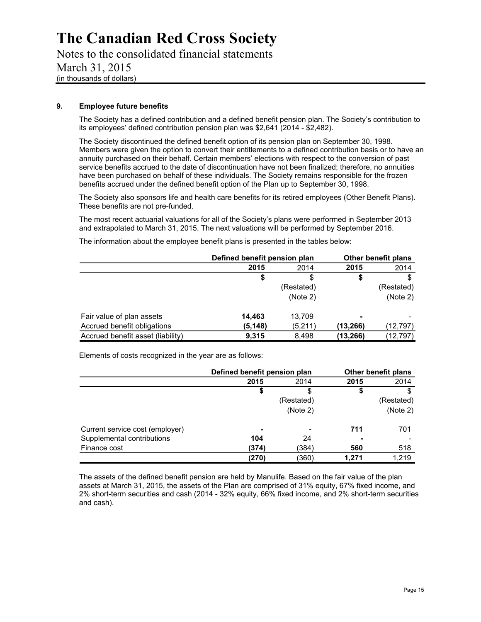Notes to the consolidated financial statements March 31, 2015 (in thousands of dollars)

#### **9. Employee future benefits**

The Society has a defined contribution and a defined benefit pension plan. The Society's contribution to its employees' defined contribution pension plan was \$2,641 (2014 - \$2,482).

The Society discontinued the defined benefit option of its pension plan on September 30, 1998. Members were given the option to convert their entitlements to a defined contribution basis or to have an annuity purchased on their behalf. Certain members' elections with respect to the conversion of past service benefits accrued to the date of discontinuation have not been finalized; therefore, no annuities have been purchased on behalf of these individuals. The Society remains responsible for the frozen benefits accrued under the defined benefit option of the Plan up to September 30, 1998.

The Society also sponsors life and health care benefits for its retired employees (Other Benefit Plans). These benefits are not pre-funded.

The most recent actuarial valuations for all of the Society's plans were performed in September 2013 and extrapolated to March 31, 2015. The next valuations will be performed by September 2016.

The information about the employee benefit plans is presented in the tables below:

|                                   |         | Defined benefit pension plan |          |            |  |
|-----------------------------------|---------|------------------------------|----------|------------|--|
|                                   | 2015    | 2014<br>2015                 |          | 2014       |  |
|                                   | S       | \$                           | \$       |            |  |
|                                   |         | (Restated)                   |          | (Restated) |  |
|                                   |         | (Note 2)                     |          | (Note 2)   |  |
| Fair value of plan assets         | 14,463  | 13.709                       | ۰        |            |  |
| Accrued benefit obligations       | (5,148) | (5,211)                      | (13,266) | (12,797)   |  |
| Accrued benefit asset (liability) | 9.315   | 8,498                        | (13,266) | (12, 797)  |  |

Elements of costs recognized in the year are as follows:

|                                 | Defined benefit pension plan | Other benefit plans |       |            |
|---------------------------------|------------------------------|---------------------|-------|------------|
|                                 | 2015                         | 2015<br>2014        |       | 2014       |
|                                 | \$                           |                     | P     |            |
|                                 |                              | (Restated)          |       | (Restated) |
|                                 |                              | (Note 2)            |       | (Note 2)   |
| Current service cost (employer) |                              |                     | 711   | 701        |
| Supplemental contributions      | 104                          | 24                  |       |            |
| Finance cost                    | (374)                        | (384)               | 560   | 518        |
|                                 | (270)                        | (360)               | 1,271 | 1,219      |

The assets of the defined benefit pension are held by Manulife. Based on the fair value of the plan assets at March 31, 2015, the assets of the Plan are comprised of 31% equity, 67% fixed income, and 2% short-term securities and cash (2014 - 32% equity, 66% fixed income, and 2% short-term securities and cash).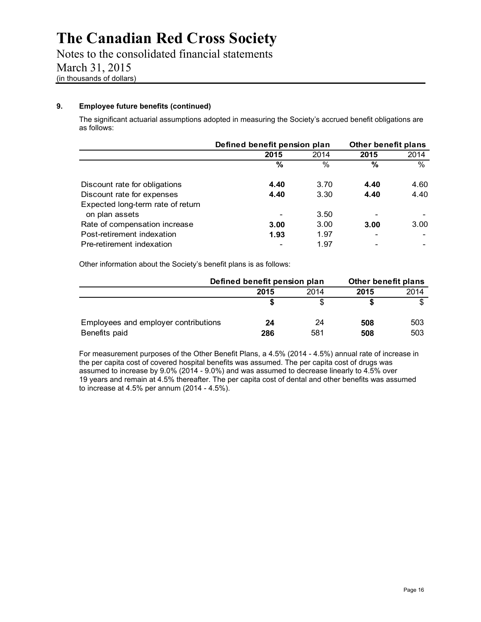Notes to the consolidated financial statements March 31, 2015 (in thousands of dollars)

#### **9. Employee future benefits (continued)**

The significant actuarial assumptions adopted in measuring the Society's accrued benefit obligations are as follows:

|                                   | Defined benefit pension plan | Other benefit plans |      |      |  |
|-----------------------------------|------------------------------|---------------------|------|------|--|
|                                   | 2015                         | 2014                | 2015 | 2014 |  |
|                                   | %                            | $\frac{0}{0}$       | %    | $\%$ |  |
| Discount rate for obligations     | 4.40                         | 3.70                | 4.40 | 4.60 |  |
| Discount rate for expenses        | 4.40                         | 3.30                | 4.40 | 4.40 |  |
| Expected long-term rate of return |                              |                     |      |      |  |
| on plan assets                    |                              | 3.50                |      |      |  |
| Rate of compensation increase     | 3.00                         | 3.00                | 3.00 | 3.00 |  |
| Post-retirement indexation        | 1.93                         | 1.97                |      |      |  |
| Pre-retirement indexation         |                              | 1.97                |      |      |  |

Other information about the Society's benefit plans is as follows:

|                                      | Defined benefit pension plan |      | Other benefit plans |      |  |
|--------------------------------------|------------------------------|------|---------------------|------|--|
|                                      | 2015                         | 2014 | 2015                | 2014 |  |
|                                      |                              |      |                     |      |  |
| Employees and employer contributions | 24                           | 24   | 508                 | 503  |  |
| Benefits paid                        | 286                          | 581  | 508                 | 503  |  |

For measurement purposes of the Other Benefit Plans, a 4.5% (2014 - 4.5%) annual rate of increase in the per capita cost of covered hospital benefits was assumed. The per capita cost of drugs was assumed to increase by 9.0% (2014 - 9.0%) and was assumed to decrease linearly to 4.5% over 19 years and remain at 4.5% thereafter. The per capita cost of dental and other benefits was assumed to increase at 4.5% per annum (2014 - 4.5%).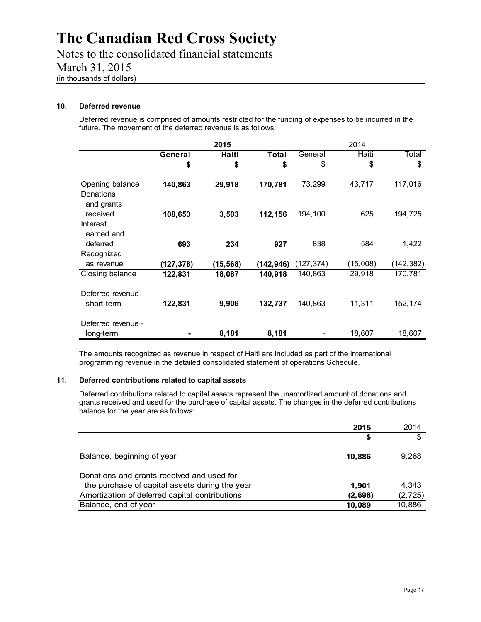Notes to the consolidated financial statements March 31, 2015 (in thousands of dollars)

#### **10. Deferred revenue**

Deferred revenue is comprised of amounts restricted for the funding of expenses to be incurred in the future. The movement of the deferred revenue is as follows:

|                                            |           | 2015      |            |           | 2014     |           |
|--------------------------------------------|-----------|-----------|------------|-----------|----------|-----------|
|                                            | General   | Haiti     | Total      | General   | Haiti    | Total     |
|                                            | \$        | \$        | \$         | \$        | \$       | \$        |
| Opening balance<br>Donations<br>and grants | 140,863   | 29,918    | 170,781    | 73,299    | 43,717   | 117,016   |
| received<br><b>Interest</b><br>earned and  | 108,653   | 3,503     | 112,156    | 194,100   | 625      | 194,725   |
| deferred                                   | 693       | 234       | 927        | 838       | 584      | 1,422     |
| Recognized                                 |           |           |            |           |          |           |
| as revenue                                 | (127,378) | (15, 568) | (142, 946) | (127,374) | (15,008) | (142,382) |
| Closing balance                            | 122,831   | 18,087    | 140,918    | 140,863   | 29,918   | 170,781   |
| Deferred revenue -<br>short-term           | 122,831   | 9,906     | 132,737    | 140,863   | 11,311   | 152,174   |
| Deferred revenue -<br>long-term            |           | 8,181     | 8,181      |           | 18,607   | 18,607    |

The amounts recognized as revenue in respect of Haiti are included as part of the international programming revenue in the detailed consolidated statement of operations Schedule.

#### **11. Deferred contributions related to capital assets**

Deferred contributions related to capital assets represent the unamortized amount of donations and grants received and used for the purchase of capital assets. The changes in the deferred contributions balance for the year are as follows:

|                                                                                                                                                | 2015             | 2014              |
|------------------------------------------------------------------------------------------------------------------------------------------------|------------------|-------------------|
|                                                                                                                                                | \$               | \$                |
| Balance, beginning of year                                                                                                                     | 10.886           | 9,268             |
| Donations and grants received and used for<br>the purchase of capital assets during the year<br>Amortization of deferred capital contributions | 1.901<br>(2,698) | 4.343<br>(2, 725) |
| Balance, end of year                                                                                                                           | 10,089           | 10,886            |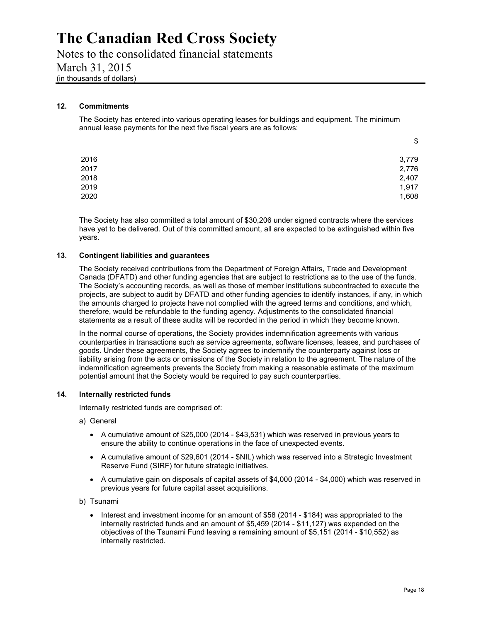Notes to the consolidated financial statements March 31, 2015 (in thousands of dollars)

#### **12. Commitments**

The Society has entered into various operating leases for buildings and equipment. The minimum annual lease payments for the next five fiscal years are as follows:

| 2016 | 3,779 |
|------|-------|
| 2017 | 2,776 |
| 2018 | 2,407 |
| 2019 | 1,917 |
| 2020 | 1,608 |
|      |       |

The Society has also committed a total amount of \$30,206 under signed contracts where the services have yet to be delivered. Out of this committed amount, all are expected to be extinguished within five years.

#### **13. Contingent liabilities and guarantees**

The Society received contributions from the Department of Foreign Affairs, Trade and Development Canada (DFATD) and other funding agencies that are subject to restrictions as to the use of the funds. The Society's accounting records, as well as those of member institutions subcontracted to execute the projects, are subject to audit by DFATD and other funding agencies to identify instances, if any, in which the amounts charged to projects have not complied with the agreed terms and conditions, and which, therefore, would be refundable to the funding agency. Adjustments to the consolidated financial statements as a result of these audits will be recorded in the period in which they become known.

In the normal course of operations, the Society provides indemnification agreements with various counterparties in transactions such as service agreements, software licenses, leases, and purchases of goods. Under these agreements, the Society agrees to indemnify the counterparty against loss or liability arising from the acts or omissions of the Society in relation to the agreement. The nature of the indemnification agreements prevents the Society from making a reasonable estimate of the maximum potential amount that the Society would be required to pay such counterparties.

#### **14. Internally restricted funds**

Internally restricted funds are comprised of:

- a) General
	- $\bullet$  A cumulative amount of \$25,000 (2014 \$43,531) which was reserved in previous years to ensure the ability to continue operations in the face of unexpected events.
	- A cumulative amount of \$29,601 (2014 \$NIL) which was reserved into a Strategic Investment Reserve Fund (SIRF) for future strategic initiatives.
	- $\bullet$  A cumulative gain on disposals of capital assets of \$4,000 (2014 \$4,000) which was reserved in previous years for future capital asset acquisitions.
- b) Tsunami
	- Interest and investment income for an amount of \$58 (2014 \$184) was appropriated to the internally restricted funds and an amount of \$5,459 (2014 - \$11,127) was expended on the objectives of the Tsunami Fund leaving a remaining amount of \$5,151 (2014 - \$10,552) as internally restricted.

\$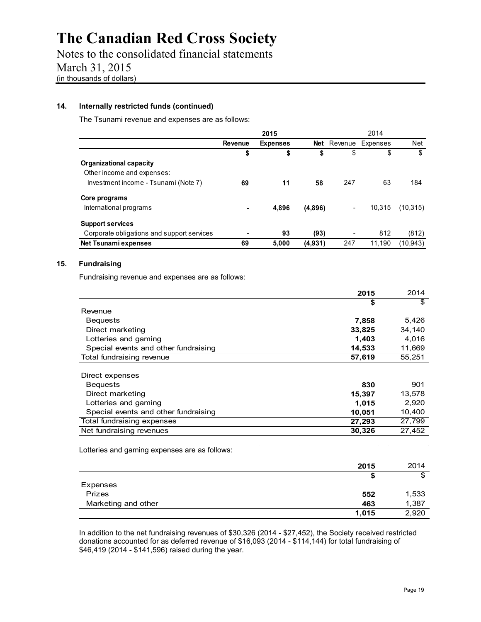Notes to the consolidated financial statements March 31, 2015 (in thousands of dollars)

#### **14. Internally restricted funds (continued)**

The Tsunami revenue and expenses are as follows:

|                                            | 2015    |                 |          | 2014               |          |            |
|--------------------------------------------|---------|-----------------|----------|--------------------|----------|------------|
|                                            | Revenue | <b>Expenses</b> |          | <b>Net</b> Revenue | Expenses | <b>Net</b> |
|                                            | \$      | \$              | \$       | \$                 | \$       | \$         |
| <b>Organizational capacity</b>             |         |                 |          |                    |          |            |
| Other income and expenses:                 |         |                 |          |                    |          |            |
| Investment income - Tsunami (Note 7)       | 69      | 11              | 58       | 247                | 63       | 184        |
| Core programs                              |         |                 |          |                    |          |            |
| International programs                     | ۰       | 4,896           | (4,896)  | -                  | 10.315   | (10, 315)  |
| <b>Support services</b>                    |         |                 |          |                    |          |            |
| Corporate obligations and support services | ۰       | 93              | (93)     |                    | 812      | (812)      |
| Net Tsunami expenses                       | 69      | 5,000           | (4, 931) | 247                | 11,190   | (10, 943)  |

#### **15. Fundraising**

Fundraising revenue and expenses are as follows:

|                                      | 2015   | 2014   |
|--------------------------------------|--------|--------|
|                                      | \$     | \$     |
| Revenue                              |        |        |
| <b>Bequests</b>                      | 7,858  | 5,426  |
| Direct marketing                     | 33,825 | 34,140 |
| Lotteries and gaming                 | 1,403  | 4,016  |
| Special events and other fundraising | 14,533 | 11,669 |
| Total fundraising revenue            | 57,619 | 55,251 |
| Direct expenses                      |        |        |
| <b>Bequests</b>                      | 830    | 901    |
| Direct marketing                     | 15,397 | 13,578 |
| Lotteries and gaming                 | 1,015  | 2,920  |
| Special events and other fundraising | 10,051 | 10,400 |
| Total fundraising expenses           | 27,293 | 27,799 |
| Net fundraising revenues             | 30,326 | 27,452 |
|                                      |        |        |

Lotteries and gaming expenses are as follows:

|                     | 2015  | 2014   |
|---------------------|-------|--------|
|                     | æ     | σ<br>Œ |
| Expenses            |       |        |
| Prizes              | 552   | 1,533  |
| Marketing and other | 463   | 1,387  |
|                     | 1,015 | 2,920  |

In addition to the net fundraising revenues of \$30,326 (2014 - \$27,452), the Society received restricted donations accounted for as deferred revenue of \$16,093 (2014 - \$114,144) for total fundraising of \$46,419 (2014 - \$141,596) raised during the year.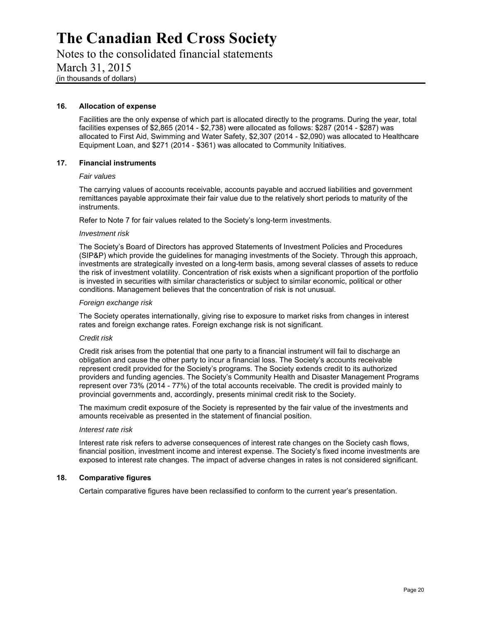Notes to the consolidated financial statements March 31, 2015 (in thousands of dollars)

#### **16. Allocation of expense**

Facilities are the only expense of which part is allocated directly to the programs. During the year, total facilities expenses of \$2,865 (2014 - \$2,738) were allocated as follows: \$287 (2014 - \$287) was allocated to First Aid, Swimming and Water Safety, \$2,307 (2014 - \$2,090) was allocated to Healthcare Equipment Loan, and \$271 (2014 - \$361) was allocated to Community Initiatives.

#### **17. Financial instruments**

#### *Fair values*

The carrying values of accounts receivable, accounts payable and accrued liabilities and government remittances payable approximate their fair value due to the relatively short periods to maturity of the instruments.

Refer to Note 7 for fair values related to the Society's long-term investments.

#### *Investment risk*

The Society's Board of Directors has approved Statements of Investment Policies and Procedures (SIP&P) which provide the guidelines for managing investments of the Society. Through this approach, investments are strategically invested on a long-term basis, among several classes of assets to reduce the risk of investment volatility. Concentration of risk exists when a significant proportion of the portfolio is invested in securities with similar characteristics or subject to similar economic, political or other conditions. Management believes that the concentration of risk is not unusual.

#### *Foreign exchange risk*

The Society operates internationally, giving rise to exposure to market risks from changes in interest rates and foreign exchange rates. Foreign exchange risk is not significant.

#### *Credit risk*

Credit risk arises from the potential that one party to a financial instrument will fail to discharge an obligation and cause the other party to incur a financial loss. The Society's accounts receivable represent credit provided for the Society's programs. The Society extends credit to its authorized providers and funding agencies. The Society's Community Health and Disaster Management Programs represent over 73% (2014 - 77%) of the total accounts receivable. The credit is provided mainly to provincial governments and, accordingly, presents minimal credit risk to the Society.

The maximum credit exposure of the Society is represented by the fair value of the investments and amounts receivable as presented in the statement of financial position.

#### *Interest rate risk*

Interest rate risk refers to adverse consequences of interest rate changes on the Society cash flows, financial position, investment income and interest expense. The Society's fixed income investments are exposed to interest rate changes. The impact of adverse changes in rates is not considered significant.

#### **18. Comparative figures**

Certain comparative figures have been reclassified to conform to the current year's presentation.